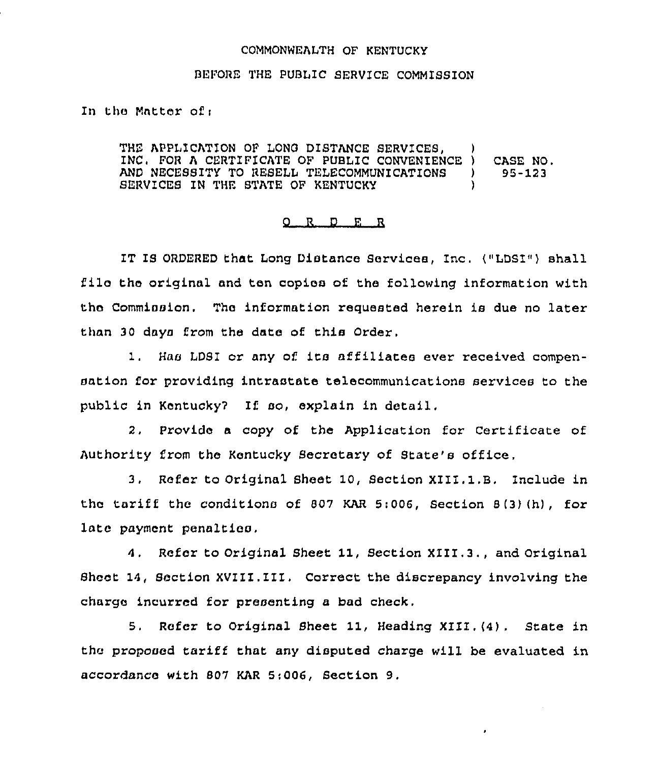## COMMONWEALTH OF KENTUCKY

## BEFORE THE PUBLIC SERVICE COMMISSION

In the Matter ofi

THE APPLICATION OF LONG DISTANCE SERVICES, INC, FOR <sup>A</sup> CERTIFICATE OF PUBLIC CONVENIENCE ) CASE NO. AND NECESSITY TO RESELL TELECOMMUNICATIONS ) SERVICES IN THE STATE OF KENTUCKY

## g R D R R

IT IS ORDERED that Long Distance Services, Inc. ("LDSI") shall filo the original and ten copies of the following information with the Commission. The information requested herein is due no later than 30 days from the date of this Order,

1. Has LDSI or any of its affiliates ever received compensation for providing intrastate telecommunications services to the public in Kentucky7 If so, explain in detail,

2. Provide a copy of the Application for Certificate of Authority from the Kentucky Secretary of State's office.

3. Refer to Original Sheet 10, Section XIII.1.B. Include in the tariff the conditions of 807 KAR 5:006, Section 8(3)(h), for late payment penalties.

4. Refer to Original Sheet 11, Section XIII.3., and Original Sheet 14, Section XVIII.III. Correct the discrepancy involving the charge incurred for presenting a bad check.

5, Refer to Original Sheet 11, Heading XIII,(4), State in the proposed tariff that any disputed charge will be evaluated in accordance with 807 KAR 5;006, Section 9.